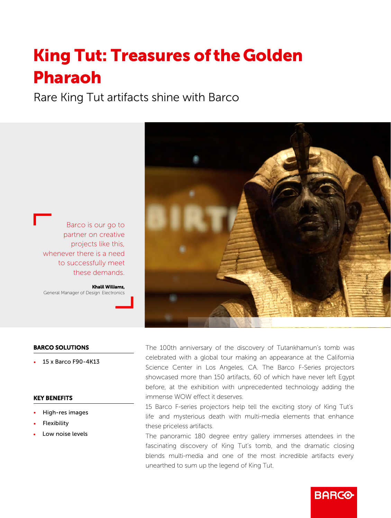# **King Tut: Treasures of the Golden** Pharaoh

Rare King Tut artifacts shine with Barco



Barco is our go to partner on creative projects like this, whenever there is a need to successfully meet these demands.

Khalil Williams, General Manager of Design Electronics

### BARCO SOLUTIONS

• 15 x Barco F90-4K13

#### KEY BENEFITS

- High-res images
- **Flexibility**
- Low noise levels

The 100th anniversary of the discovery of Tutankhamun's tomb was celebrated with a global tour making an appearance at the California Science Center in Los Angeles, CA. The Barco F-Series projectors showcased more than 150 artifacts, 60 of which have never left Egypt before, at the exhibition with unprecedented technology adding the immense WOW effect it deserves.

15 Barco F-series projectors help tell the exciting story of King Tut's life and mysterious death with multi-media elements that enhance these priceless artifacts.

The panoramic 180 degree entry gallery immerses attendees in the fascinating discovery of King Tut's tomb, and the dramatic closing blends multi-media and one of the most incredible artifacts every unearthed to sum up the legend of King Tut.

**BARCO**